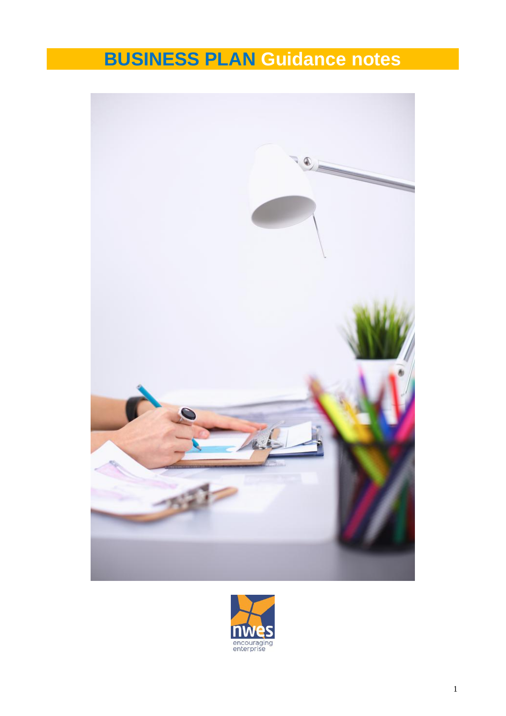# **BUSINESS PLAN Guidance notes**



![](_page_0_Picture_2.jpeg)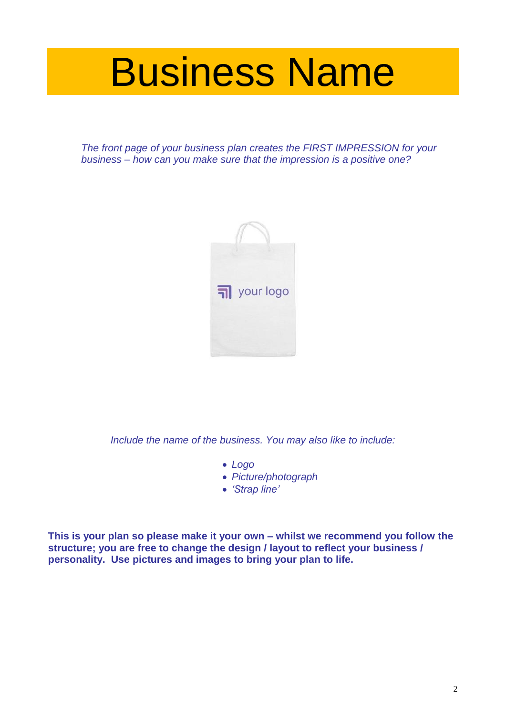# Business Name

*The front page of your business plan creates the FIRST IMPRESSION for your business – how can you make sure that the impression is a positive one?*

![](_page_1_Picture_2.jpeg)

*Include the name of the business. You may also like to include:*

- *Logo*
- *Picture/photograph*
- *'Strap line'*

**This is your plan so please make it your own – whilst we recommend you follow the structure; you are free to change the design / layout to reflect your business / personality. Use pictures and images to bring your plan to life.**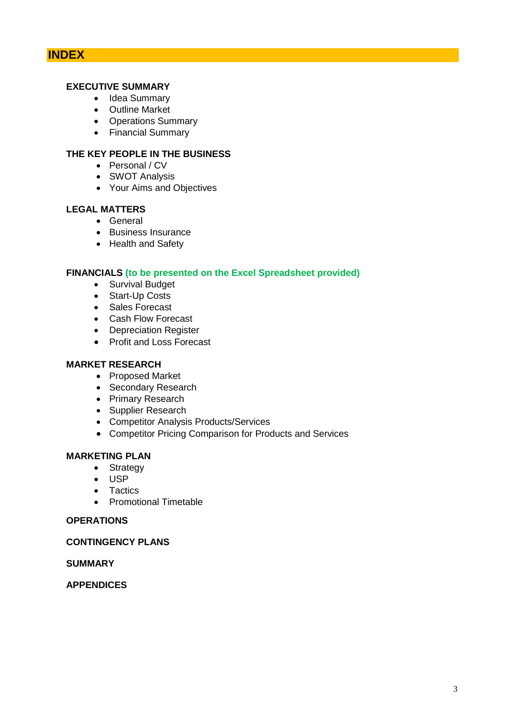# **INDEX**

# **EXECUTIVE SUMMARY**

- Idea Summary
- Outline Market
- Operations Summary
- Financial Summary

# **THE KEY PEOPLE IN THE BUSINESS**

- Personal / CV
- SWOT Analysis
- Your Aims and Objectives

# **LEGAL MATTERS**

- General
- Business Insurance
- Health and Safety

# **FINANCIALS (to be presented on the Excel Spreadsheet provided)**

- Survival Budget
- Start-Up Costs
- Sales Forecast
- Cash Flow Forecast
- Depreciation Register
- Profit and Loss Forecast

# **MARKET RESEARCH**

- Proposed Market
- Secondary Research
- Primary Research
- Supplier Research
- Competitor Analysis Products/Services
- Competitor Pricing Comparison for Products and Services

# **MARKETING PLAN**

- Strategy
- USP
- Tactics
- Promotional Timetable

# **OPERATIONS**

#### **CONTINGENCY PLANS**

# **SUMMARY**

#### **APPENDICES**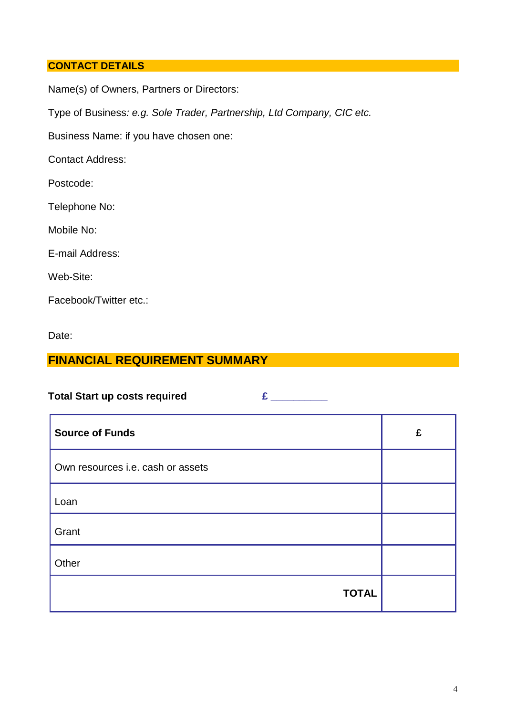# **CONTACT DETAILS**

Name(s) of Owners, Partners or Directors:

Type of Business*: e.g. Sole Trader, Partnership, Ltd Company, CIC etc.*

Business Name: if you have chosen one:

Contact Address:

Postcode:

Telephone No:

Mobile No:

E-mail Address:

Web-Site:

Facebook/Twitter etc.:

Date:

# **FINANCIAL REQUIREMENT SUMMARY**

Total Start up costs required  $f(x) = f(x)$ 

| <b>Source of Funds</b>            | £ |
|-----------------------------------|---|
| Own resources i.e. cash or assets |   |
| Loan                              |   |
| Grant                             |   |
| Other                             |   |
| <b>TOTAL</b>                      |   |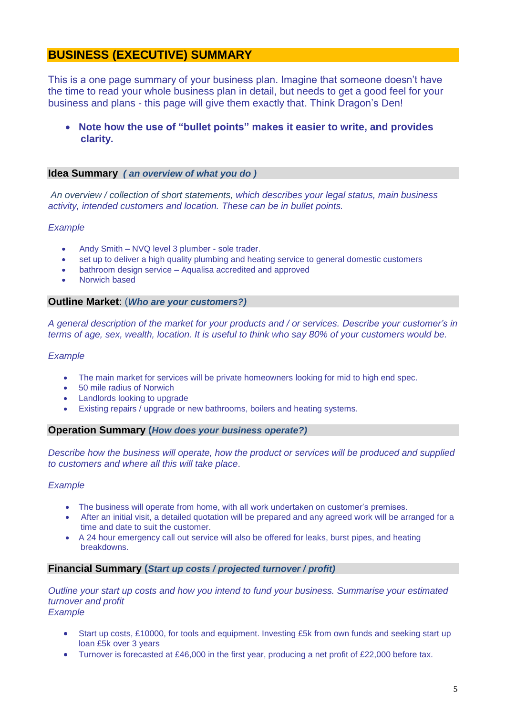# **BUSINESS (EXECUTIVE) SUMMARY**

This is a one page summary of your business plan. Imagine that someone doesn't have the time to read your whole business plan in detail, but needs to get a good feel for your business and plans - this page will give them exactly that. Think Dragon's Den!

# **Note how the use of "bullet points" makes it easier to write, and provides clarity.**

#### **Idea Summary** *( an overview of what you do )*

*An overview / collection of short statements, which describes your legal status, main business activity, intended customers and location. These can be in bullet points.*

#### *Example*

- Andy Smith NVQ level 3 plumber sole trader.
- set up to deliver a high quality plumbing and heating service to general domestic customers
- bathroom design service Aqualisa accredited and approved
- Norwich based

#### **Outline Market**: (*Who are your customers?)*

*A general description of the market for your products and / or services. Describe your customer's in terms of age, sex, wealth, location. It is useful to think who say 80% of your customers would be.* 

#### *Example*

- The main market for services will be private homeowners looking for mid to high end spec.
- 50 mile radius of Norwich
- Landlords looking to upgrade
- Existing repairs / upgrade or new bathrooms, boilers and heating systems.

#### **Operation Summary (***How does your business operate?)*

*Describe how the business will operate, how the product or services will be produced and supplied to customers and where all this will take place*.

#### *Example*

- The business will operate from home, with all work undertaken on customer's premises.
- After an initial visit, a detailed quotation will be prepared and any agreed work will be arranged for a time and date to suit the customer.
- A 24 hour emergency call out service will also be offered for leaks, burst pipes, and heating breakdowns.

#### **Financial Summary (***Start up costs / projected turnover / profit)*

*Outline your start up costs and how you intend to fund your business. Summarise your estimated turnover and profit Example*

- Start up costs, £10000, for tools and equipment. Investing £5k from own funds and seeking start up loan £5k over 3 years
- Turnover is forecasted at £46,000 in the first year, producing a net profit of £22,000 before tax.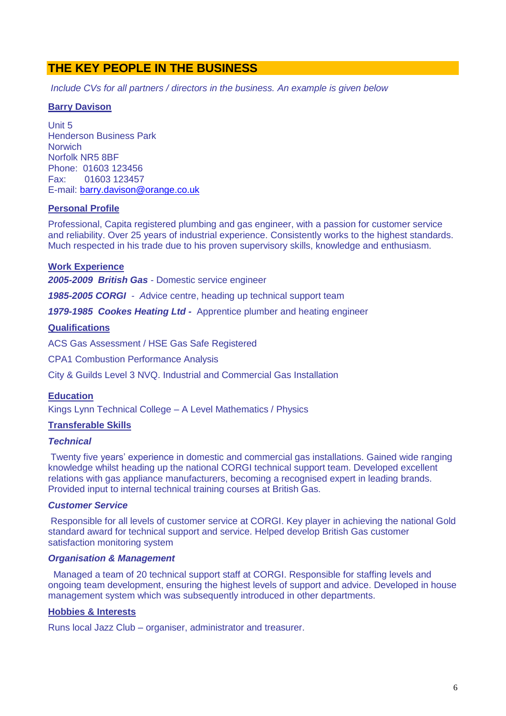# **THE KEY PEOPLE IN THE BUSINESS**

*Include CVs for all partners / directors in the business. An example is given below*

#### **Barry Davison**

Unit 5 Henderson Business Park **Norwich** Norfolk NR5 8BF Phone: 01603 123456 Fax: 01603 123457 E-mail: [barry.davison@orange.co.uk](mailto:barry.davison@orange.co.uk)

#### **Personal Profile**

Professional, Capita registered plumbing and gas engineer, with a passion for customer service and reliability. Over 25 years of industrial experience. Consistently works to the highest standards. Much respected in his trade due to his proven supervisory skills, knowledge and enthusiasm.

#### **Work Experience**

*2005-2009 British Gas -* Domestic service engineer

*1985-2005 CORGI - A*dvice centre, heading up technical support team

*1979-1985 Cookes Heating Ltd -* Apprentice plumber and heating engineer

#### **Qualifications**

ACS Gas Assessment / HSE Gas Safe Registered

CPA1 Combustion Performance Analysis

City & Guilds Level 3 NVQ. Industrial and Commercial Gas Installation

#### **Education**

Kings Lynn Technical College – A Level Mathematics / Physics

#### **Transferable Skills**

#### *Technical*

Twenty five years' experience in domestic and commercial gas installations. Gained wide ranging knowledge whilst heading up the national CORGI technical support team. Developed excellent relations with gas appliance manufacturers, becoming a recognised expert in leading brands. Provided input to internal technical training courses at British Gas.

#### *Customer Service*

Responsible for all levels of customer service at CORGI. Key player in achieving the national Gold standard award for technical support and service. Helped develop British Gas customer satisfaction monitoring system

#### *Organisation & Management*

Managed a team of 20 technical support staff at CORGI. Responsible for staffing levels and ongoing team development, ensuring the highest levels of support and advice. Developed in house management system which was subsequently introduced in other departments.

#### **Hobbies & Interests**

Runs local Jazz Club – organiser, administrator and treasurer.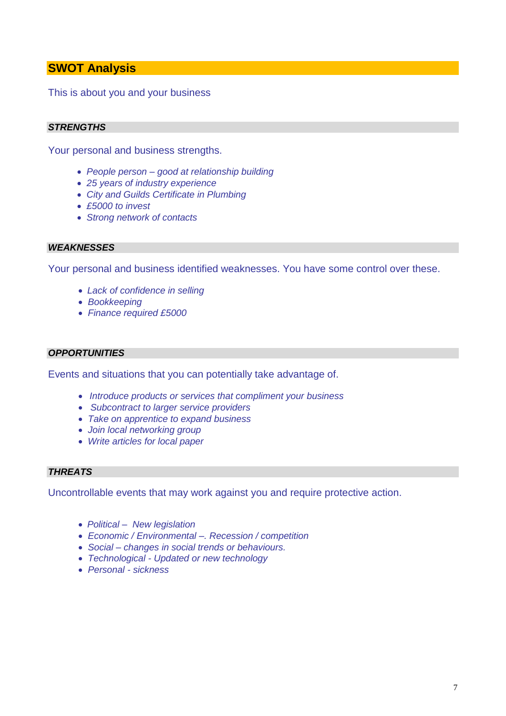# **SWOT Analysis**

This is about you and your business

# *STRENGTHS*

Your personal and business strengths.

- *People person – good at relationship building*
- *25 years of industry experience*
- *City and Guilds Certificate in Plumbing*
- *£5000 to invest*
- *Strong network of contacts*

#### *WEAKNESSES*

Your personal and business identified weaknesses. You have some control over these.

- *Lack of confidence in selling*
- *Bookkeeping*
- *Finance required £5000*

#### *OPPORTUNITIES*

Events and situations that you can potentially take advantage of.

- *Introduce products or services that compliment your business*
- *Subcontract to larger service providers*
- *Take on apprentice to expand business*
- *Join local networking group*
- *Write articles for local paper*

# *THREATS*

Uncontrollable events that may work against you and require protective action.

- *Political – New legislation*
- *Economic / Environmental –. Recession / competition*
- *Social – changes in social trends or behaviours.*
- *Technological - Updated or new technology*
- *Personal - sickness*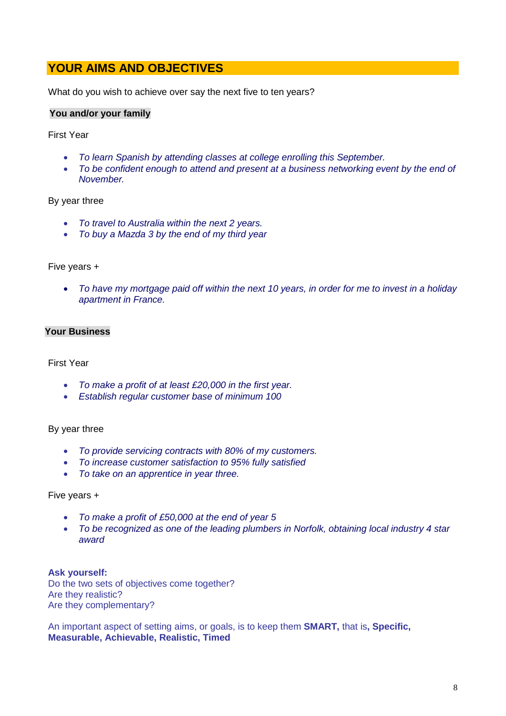# **YOUR AIMS AND OBJECTIVES**

What do you wish to achieve over say the next five to ten years?

#### **You and/or your family**

First Year

- *To learn Spanish by attending classes at college enrolling this September.*
- *To be confident enough to attend and present at a business networking event by the end of November.*

#### By year three

- *To travel to Australia within the next 2 years.*
- *To buy a Mazda 3 by the end of my third year*

#### Five years +

 *To have my mortgage paid off within the next 10 years, in order for me to invest in a holiday apartment in France.*

## **Your Business**

#### First Year

- *To make a profit of at least £20,000 in the first year.*
- *Establish regular customer base of minimum 100*

#### By year three

- *To provide servicing contracts with 80% of my customers.*
- *To increase customer satisfaction to 95% fully satisfied*
- *To take on an apprentice in year three.*

#### Five years +

- *To make a profit of £50,000 at the end of year 5*
- *To be recognized as one of the leading plumbers in Norfolk, obtaining local industry 4 star award*

**Ask yourself:** Do the two sets of objectives come together? Are they realistic? Are they complementary?

An important aspect of setting aims, or goals, is to keep them **SMART,** that is**, Specific, Measurable, Achievable, Realistic, Timed**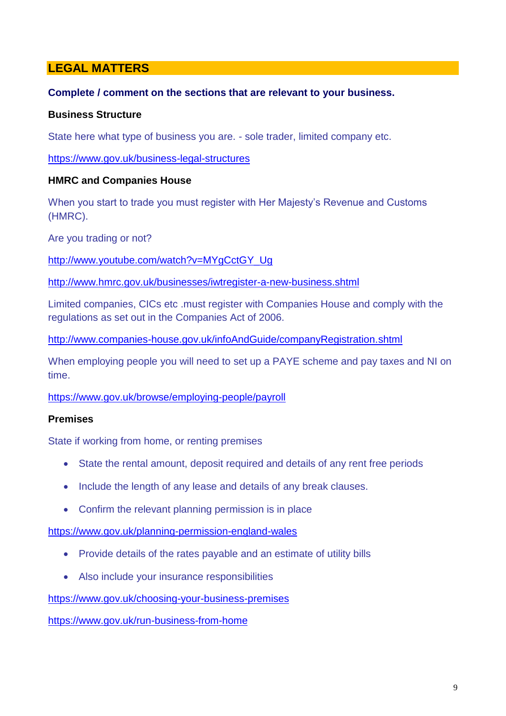# **LEGAL MATTERS**

# **Complete / comment on the sections that are relevant to your business.**

# **Business Structure**

State here what type of business you are. - sole trader, limited company etc.

<https://www.gov.uk/business-legal-structures>

# **HMRC and Companies House**

When you start to trade you must register with Her Majesty's Revenue and Customs (HMRC).

Are you trading or not?

[http://www.youtube.com/watch?v=MYgCctGY\\_Ug](http://www.youtube.com/watch?v=MYgCctGY_Ug)

<http://www.hmrc.gov.uk/businesses/iwtregister-a-new-business.shtml>

Limited companies, CICs etc .must register with Companies House and comply with the regulations as set out in the Companies Act of 2006.

<http://www.companies-house.gov.uk/infoAndGuide/companyRegistration.shtml>

When employing people you will need to set up a PAYE scheme and pay taxes and NI on time.

<https://www.gov.uk/browse/employing-people/payroll>

# **Premises**

State if working from home, or renting premises

- State the rental amount, deposit required and details of any rent free periods
- Include the length of any lease and details of any break clauses.
- Confirm the relevant planning permission is in place

<https://www.gov.uk/planning-permission-england-wales>

- Provide details of the rates payable and an estimate of utility bills
- Also include your insurance responsibilities

<https://www.gov.uk/choosing-your-business-premises>

<https://www.gov.uk/run-business-from-home>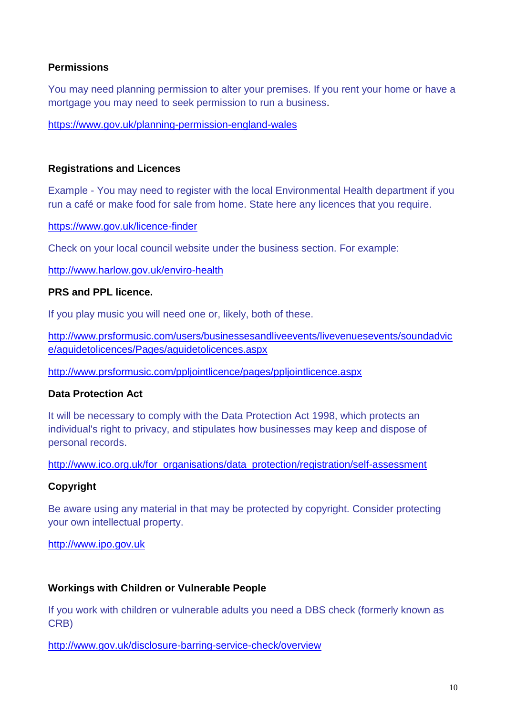# **Permissions**

You may need planning permission to alter your premises. If you rent your home or have a mortgage you may need to seek permission to run a business.

<https://www.gov.uk/planning-permission-england-wales>

# **Registrations and Licences**

Example - You may need to register with the local Environmental Health department if you run a café or make food for sale from home. State here any licences that you require.

<https://www.gov.uk/licence-finder>

Check on your local council website under the business section. For example:

<http://www.harlow.gov.uk/enviro-health>

# **PRS and PPL licence.**

If you play music you will need one or, likely, both of these.

[http://www.prsformusic.com/users/businessesandliveevents/livevenuesevents/soundadvic](http://www.prsformusic.com/users/businessesandliveevents/livevenuesevents/soundadvice/aguidetolicences/Pages/aguidetolicences.aspx) [e/aguidetolicences/Pages/aguidetolicences.aspx](http://www.prsformusic.com/users/businessesandliveevents/livevenuesevents/soundadvice/aguidetolicences/Pages/aguidetolicences.aspx)

<http://www.prsformusic.com/ppljointlicence/pages/ppljointlicence.aspx>

# **Data Protection Act**

It will be necessary to comply with the Data Protection Act 1998, which protects an individual's right to privacy, and stipulates how businesses may keep and dispose of personal records.

[http://www.ico.org.uk/for\\_organisations/data\\_protection/registration/self-assessment](http://www.ico.org.uk/for_organisations/data_protection/registration/self-assessment)

# **Copyright**

Be aware using any material in that may be protected by copyright. Consider protecting your own intellectual property.

[http://www.ipo.gov.uk](http://www.ipo.gov.uk/)

# **Workings with Children or Vulnerable People**

If you work with children or vulnerable adults you need a DBS check (formerly known as CRB)

<http://www.gov.uk/disclosure-barring-service-check/overview>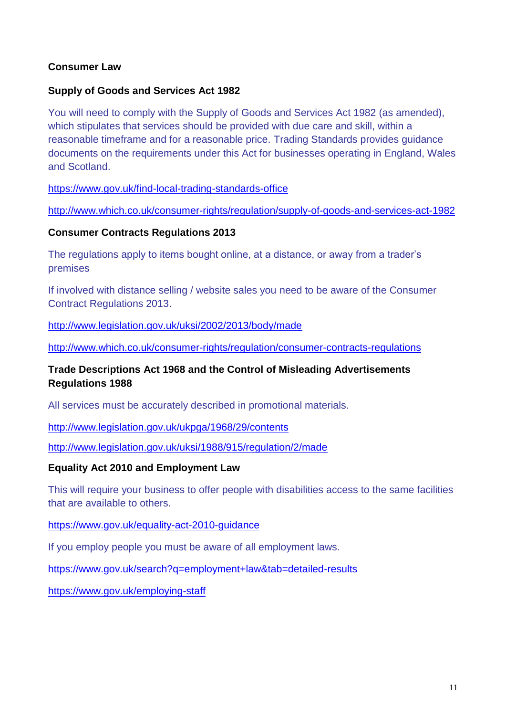# **Consumer Law**

# **Supply of Goods and Services Act 1982**

You will need to comply with the Supply of Goods and Services Act 1982 (as amended), which stipulates that services should be provided with due care and skill, within a reasonable timeframe and for a reasonable price. Trading Standards provides guidance documents on the requirements under this Act for businesses operating in England, Wales and Scotland.

<https://www.gov.uk/find-local-trading-standards-office>

<http://www.which.co.uk/consumer-rights/regulation/supply-of-goods-and-services-act-1982>

# **Consumer Contracts Regulations 2013**

The regulations apply to items bought online, at a distance, or away from a trader's premises

If involved with distance selling / website sales you need to be aware of the Consumer Contract Regulations 2013.

<http://www.legislation.gov.uk/uksi/2002/2013/body/made>

<http://www.which.co.uk/consumer-rights/regulation/consumer-contracts-regulations>

# **Trade Descriptions Act 1968 and the Control of Misleading Advertisements Regulations 1988**

All services must be accurately described in promotional materials.

<http://www.legislation.gov.uk/ukpga/1968/29/contents>

<http://www.legislation.gov.uk/uksi/1988/915/regulation/2/made>

# **Equality Act 2010 and Employment Law**

This will require your business to offer people with disabilities access to the same facilities that are available to others.

# <https://www.gov.uk/equality-act-2010-guidance>

If you employ people you must be aware of all employment laws.

<https://www.gov.uk/search?q=employment+law&tab=detailed-results>

<https://www.gov.uk/employing-staff>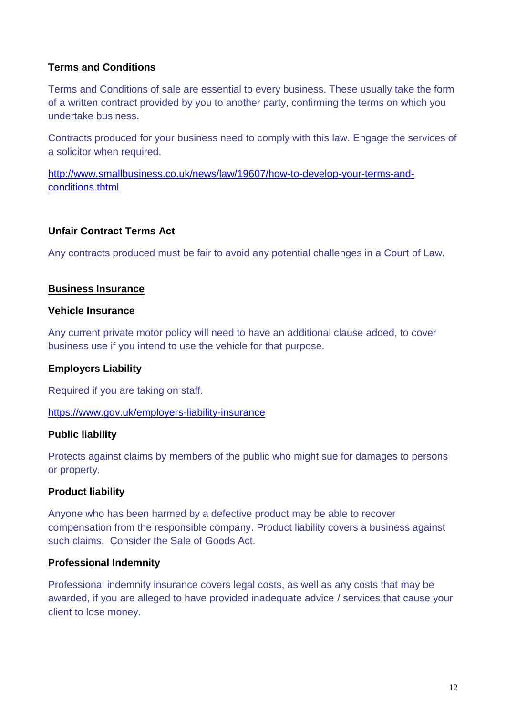# **Terms and Conditions**

Terms and Conditions of sale are essential to every business. These usually take the form of a written contract provided by you to another party, confirming the terms on which you undertake business.

Contracts produced for your business need to comply with this law. Engage the services of a solicitor when required.

[http://www.smallbusiness.co.uk/news/law/19607/how-to-develop-your-terms-and](http://www.smallbusiness.co.uk/news/law/19607/how-to-develop-your-terms-and-conditions.thtml)[conditions.thtml](http://www.smallbusiness.co.uk/news/law/19607/how-to-develop-your-terms-and-conditions.thtml)

# **Unfair Contract Terms Act**

Any contracts produced must be fair to avoid any potential challenges in a Court of Law.

# **Business Insurance**

# **Vehicle Insurance**

Any current private motor policy will need to have an additional clause added, to cover business use if you intend to use the vehicle for that purpose.

# **Employers Liability**

Required if you are taking on staff.

<https://www.gov.uk/employers-liability-insurance>

# **Public liability**

Protects against claims by members of the public who might sue for damages to persons or property.

# **Product liability**

Anyone who has been harmed by a defective product may be able to recover compensation from the responsible company. Product liability covers a business against such claims. Consider the Sale of Goods Act.

# **Professional Indemnity**

Professional indemnity insurance covers legal costs, as well as any costs that may be awarded, if you are alleged to have provided inadequate advice / services that cause your client to lose money.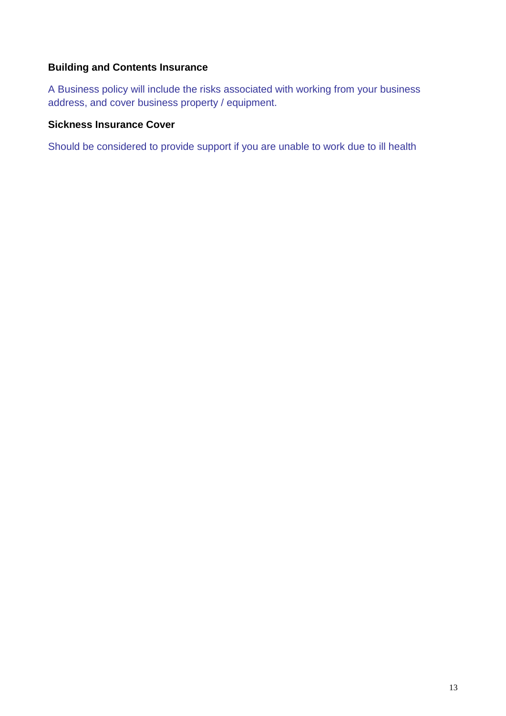# **Building and Contents Insurance**

A Business policy will include the risks associated with working from your business address, and cover business property / equipment.

# **Sickness Insurance Cover**

Should be considered to provide support if you are unable to work due to ill health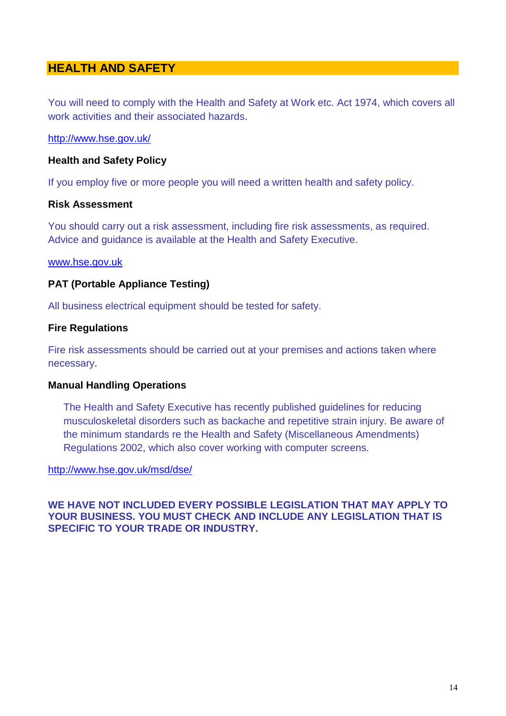# **HEALTH AND SAFETY**

You will need to comply with the Health and Safety at Work etc. Act 1974, which covers all work activities and their associated hazards.

<http://www.hse.gov.uk/>

# **Health and Safety Policy**

If you employ five or more people you will need a written health and safety policy.

# **Risk Assessment**

You should carry out a risk assessment, including fire risk assessments, as required. Advice and guidance is available at the Health and Safety Executive.

#### [www.hse.gov.uk](http://www.hse.gov.uk/)

# **PAT (Portable Appliance Testing)**

All business electrical equipment should be tested for safety.

# **Fire Regulations**

Fire risk assessments should be carried out at your premises and actions taken where necessary.

#### **Manual Handling Operations**

The Health and Safety Executive has recently published guidelines for reducing musculoskeletal disorders such as backache and repetitive strain injury. Be aware of the minimum standards re the Health and Safety (Miscellaneous Amendments) Regulations 2002, which also cover working with computer screens.

#### <http://www.hse.gov.uk/msd/dse/>

**WE HAVE NOT INCLUDED EVERY POSSIBLE LEGISLATION THAT MAY APPLY TO YOUR BUSINESS. YOU MUST CHECK AND INCLUDE ANY LEGISLATION THAT IS SPECIFIC TO YOUR TRADE OR INDUSTRY.**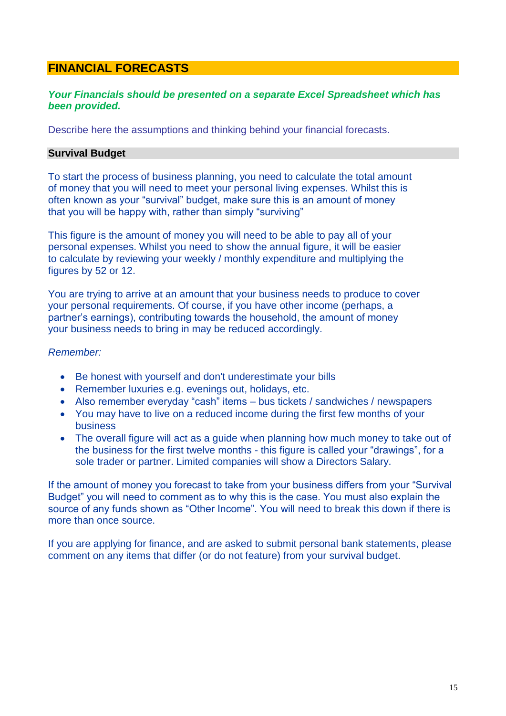# **FINANCIAL FORECASTS**

# *Your Financials should be presented on a separate Excel Spreadsheet which has been provided.*

Describe here the assumptions and thinking behind your financial forecasts.

# **Survival Budget**

To start the process of business planning, you need to calculate the total amount of money that you will need to meet your personal living expenses. Whilst this is often known as your "survival" budget, make sure this is an amount of money that you will be happy with, rather than simply "surviving"

This figure is the amount of money you will need to be able to pay all of your personal expenses. Whilst you need to show the annual figure, it will be easier to calculate by reviewing your weekly / monthly expenditure and multiplying the figures by 52 or 12.

You are trying to arrive at an amount that your business needs to produce to cover your personal requirements. Of course, if you have other income (perhaps, a partner's earnings), contributing towards the household, the amount of money your business needs to bring in may be reduced accordingly.

# *Remember:*

- Be honest with yourself and don't underestimate your bills
- Remember luxuries e.g. evenings out, holidays, etc.
- Also remember everyday "cash" items bus tickets / sandwiches / newspapers
- You may have to live on a reduced income during the first few months of your business
- The overall figure will act as a guide when planning how much money to take out of the business for the first twelve months - this figure is called your "drawings", for a sole trader or partner. Limited companies will show a Directors Salary.

If the amount of money you forecast to take from your business differs from your "Survival Budget" you will need to comment as to why this is the case. You must also explain the source of any funds shown as "Other Income". You will need to break this down if there is more than once source.

If you are applying for finance, and are asked to submit personal bank statements, please comment on any items that differ (or do not feature) from your survival budget.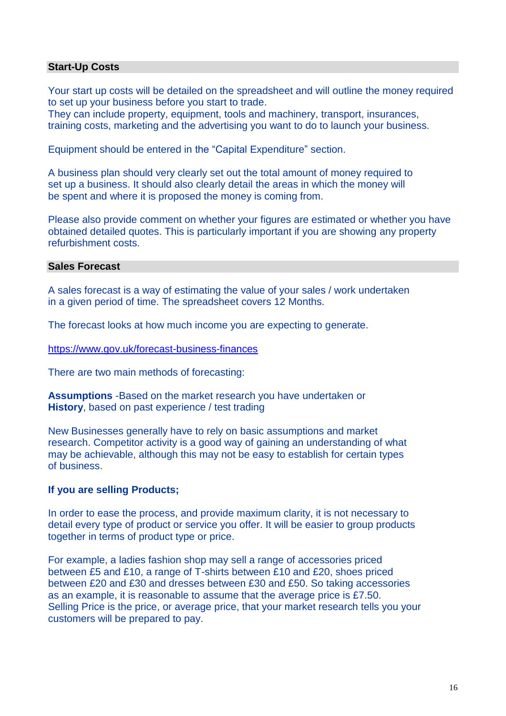# **Start-Up Costs**

Your start up costs will be detailed on the spreadsheet and will outline the money required to set up your business before you start to trade.

They can include property, equipment, tools and machinery, transport, insurances, training costs, marketing and the advertising you want to do to launch your business.

Equipment should be entered in the "Capital Expenditure" section.

A business plan should very clearly set out the total amount of money required to set up a business. It should also clearly detail the areas in which the money will be spent and where it is proposed the money is coming from.

Please also provide comment on whether your figures are estimated or whether you have obtained detailed quotes. This is particularly important if you are showing any property refurbishment costs.

# **Sales Forecast**

A sales forecast is a way of estimating the value of your sales / work undertaken in a given period of time. The spreadsheet covers 12 Months.

The forecast looks at how much income you are expecting to generate.

<https://www.gov.uk/forecast-business-finances>

There are two main methods of forecasting:

**Assumptions** -Based on the market research you have undertaken or **History**, based on past experience / test trading

New Businesses generally have to rely on basic assumptions and market research. Competitor activity is a good way of gaining an understanding of what may be achievable, although this may not be easy to establish for certain types of business.

# **If you are selling Products;**

In order to ease the process, and provide maximum clarity, it is not necessary to detail every type of product or service you offer. It will be easier to group products together in terms of product type or price.

For example, a ladies fashion shop may sell a range of accessories priced between £5 and £10, a range of T-shirts between £10 and £20, shoes priced between £20 and £30 and dresses between £30 and £50. So taking accessories as an example, it is reasonable to assume that the average price is £7.50. Selling Price is the price, or average price, that your market research tells you your customers will be prepared to pay.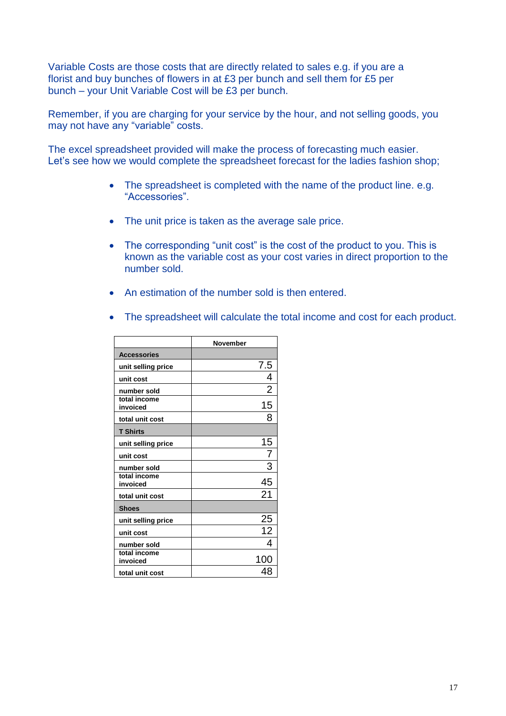Variable Costs are those costs that are directly related to sales e.g. if you are a florist and buy bunches of flowers in at £3 per bunch and sell them for £5 per bunch – your Unit Variable Cost will be £3 per bunch.

Remember, if you are charging for your service by the hour, and not selling goods, you may not have any "variable" costs.

The excel spreadsheet provided will make the process of forecasting much easier. Let's see how we would complete the spreadsheet forecast for the ladies fashion shop;

- The spreadsheet is completed with the name of the product line. e.g. "Accessories".
- The unit price is taken as the average sale price.
- The corresponding "unit cost" is the cost of the product to you. This is known as the variable cost as your cost varies in direct proportion to the number sold.
- An estimation of the number sold is then entered.
- The spreadsheet will calculate the total income and cost for each product.

|                          | <b>November</b> |
|--------------------------|-----------------|
| <b>Accessories</b>       |                 |
| unit selling price       | 7.5             |
| unit cost                | 4               |
| number sold              | $\overline{2}$  |
| total income<br>invoiced | 15              |
| total unit cost          | 8               |
| <b>T Shirts</b>          |                 |
| unit selling price       | 15              |
| unit cost                |                 |
| number sold              | 3               |
| total income<br>invoiced | 45              |
| total unit cost          | 21              |
| <b>Shoes</b>             |                 |
| unit selling price       | 25              |
| unit cost                | 12              |
| number sold              | 4               |
| total income<br>invoiced | 100             |
| total unit cost          | 4۲              |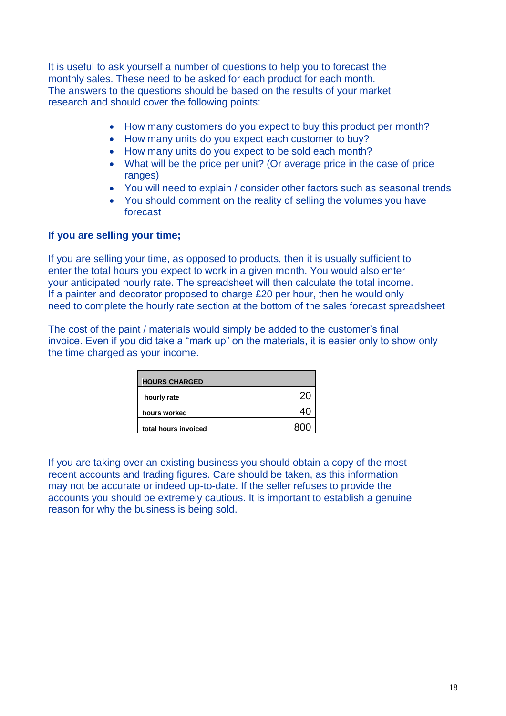It is useful to ask yourself a number of questions to help you to forecast the monthly sales. These need to be asked for each product for each month. The answers to the questions should be based on the results of your market research and should cover the following points:

- How many customers do you expect to buy this product per month?
- How many units do you expect each customer to buy?
- How many units do you expect to be sold each month?
- What will be the price per unit? (Or average price in the case of price ranges)
- You will need to explain / consider other factors such as seasonal trends
- You should comment on the reality of selling the volumes you have forecast

#### **If you are selling your time;**

If you are selling your time, as opposed to products, then it is usually sufficient to enter the total hours you expect to work in a given month. You would also enter your anticipated hourly rate. The spreadsheet will then calculate the total income. If a painter and decorator proposed to charge £20 per hour, then he would only need to complete the hourly rate section at the bottom of the sales forecast spreadsheet

The cost of the paint / materials would simply be added to the customer's final invoice. Even if you did take a "mark up" on the materials, it is easier only to show only the time charged as your income.

| <b>HOURS CHARGED</b> |  |
|----------------------|--|
| hourly rate          |  |
| hours worked         |  |
| total hours invoiced |  |

If you are taking over an existing business you should obtain a copy of the most recent accounts and trading figures. Care should be taken, as this information may not be accurate or indeed up-to-date. If the seller refuses to provide the accounts you should be extremely cautious. It is important to establish a genuine reason for why the business is being sold.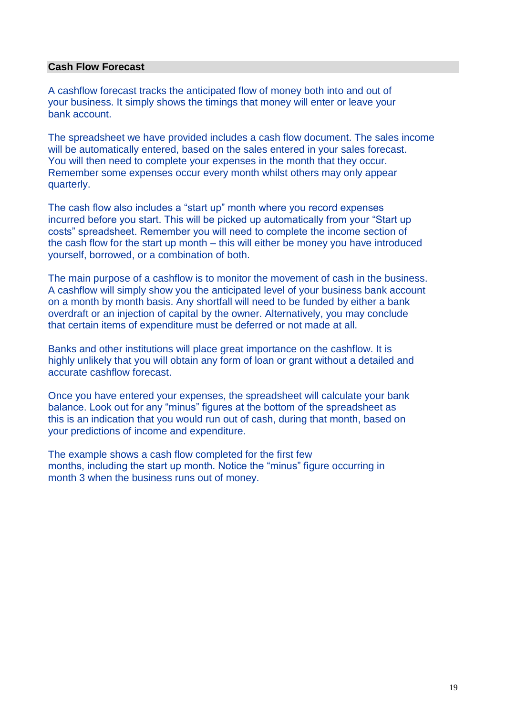#### **Cash Flow Forecast**

A cashflow forecast tracks the anticipated flow of money both into and out of your business. It simply shows the timings that money will enter or leave your bank account.

The spreadsheet we have provided includes a cash flow document. The sales income will be automatically entered, based on the sales entered in your sales forecast. You will then need to complete your expenses in the month that they occur. Remember some expenses occur every month whilst others may only appear quarterly.

The cash flow also includes a "start up" month where you record expenses incurred before you start. This will be picked up automatically from your "Start up costs" spreadsheet. Remember you will need to complete the income section of the cash flow for the start up month – this will either be money you have introduced yourself, borrowed, or a combination of both.

The main purpose of a cashflow is to monitor the movement of cash in the business. A cashflow will simply show you the anticipated level of your business bank account on a month by month basis. Any shortfall will need to be funded by either a bank overdraft or an injection of capital by the owner. Alternatively, you may conclude that certain items of expenditure must be deferred or not made at all.

Banks and other institutions will place great importance on the cashflow. It is highly unlikely that you will obtain any form of loan or grant without a detailed and accurate cashflow forecast.

Once you have entered your expenses, the spreadsheet will calculate your bank balance. Look out for any "minus" figures at the bottom of the spreadsheet as this is an indication that you would run out of cash, during that month, based on your predictions of income and expenditure.

The example shows a cash flow completed for the first few months, including the start up month. Notice the "minus" figure occurring in month 3 when the business runs out of money.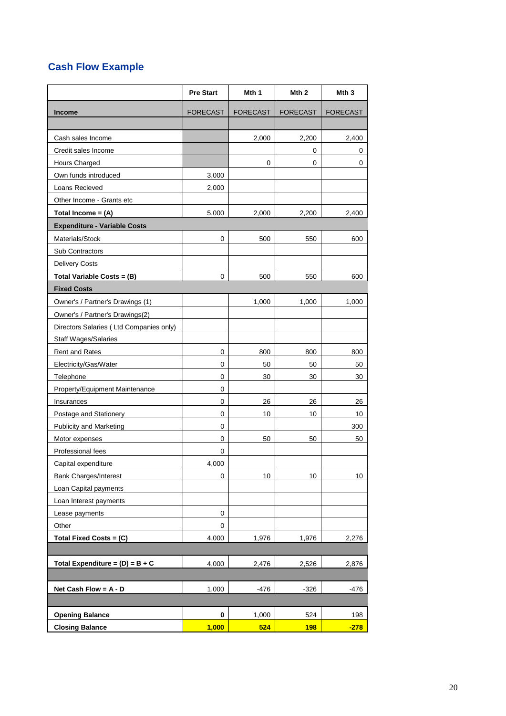# **Cash Flow Example**

|                                         | <b>Pre Start</b> | Mth 1           | Mth <sub>2</sub> | Mth 3           |
|-----------------------------------------|------------------|-----------------|------------------|-----------------|
| <b>Income</b>                           | <b>FORECAST</b>  | <b>FORECAST</b> | <b>FORECAST</b>  | <b>FORECAST</b> |
|                                         |                  |                 |                  |                 |
| Cash sales Income                       |                  | 2,000           | 2,200            | 2,400           |
| Credit sales Income                     |                  |                 | 0                | 0               |
| Hours Charged                           |                  | 0               | 0                | 0               |
| Own funds introduced                    | 3,000            |                 |                  |                 |
| Loans Recieved                          | 2,000            |                 |                  |                 |
| Other Income - Grants etc               |                  |                 |                  |                 |
| Total Income = $(A)$                    | 5,000            | 2,000           | 2,200            | 2,400           |
| <b>Expenditure - Variable Costs</b>     |                  |                 |                  |                 |
| Materials/Stock                         | 0                | 500             | 550              | 600             |
| Sub Contractors                         |                  |                 |                  |                 |
| <b>Delivery Costs</b>                   |                  |                 |                  |                 |
| Total Variable Costs = (B)              | 0                | 500             | 550              | 600             |
| <b>Fixed Costs</b>                      |                  |                 |                  |                 |
| Owner's / Partner's Drawings (1)        |                  | 1,000           | 1,000            | 1,000           |
| Owner's / Partner's Drawings(2)         |                  |                 |                  |                 |
| Directors Salaries (Ltd Companies only) |                  |                 |                  |                 |
| <b>Staff Wages/Salaries</b>             |                  |                 |                  |                 |
| <b>Rent and Rates</b>                   | 0                | 800             | 800              | 800             |
| Electricity/Gas/Water                   | 0                | 50              | 50               | 50              |
| Telephone                               | 0                | 30              | 30               | 30              |
| Property/Equipment Maintenance          | 0                |                 |                  |                 |
| Insurances                              | 0                | 26              | 26               | 26              |
| Postage and Stationery                  | 0                | 10              | 10               | 10              |
| <b>Publicity and Marketing</b>          | 0                |                 |                  | 300             |
| Motor expenses                          | 0                | 50              | 50               | 50              |
| Professional fees                       | 0                |                 |                  |                 |
| Capital expenditure                     | 4,000            |                 |                  |                 |
| <b>Bank Charges/Interest</b>            | 0                | 10              | 10               | 10              |
| Loan Capital payments                   |                  |                 |                  |                 |
| Loan Interest payments                  |                  |                 |                  |                 |
| Lease payments                          | 0                |                 |                  |                 |
| Other                                   | 0                |                 |                  |                 |
| Total Fixed Costs = (C)                 | 4,000            | 1,976           | 1,976            | 2,276           |
|                                         |                  |                 |                  |                 |
| Total Expenditure = $(D) = B + C$       | 4,000            | 2,476           | 2,526            | 2,876           |
|                                         |                  |                 |                  |                 |
| Net Cash Flow = $A - D$                 | 1,000            | $-476$          | $-326$           | $-476$          |
|                                         |                  |                 |                  |                 |
| <b>Opening Balance</b>                  | $\pmb{0}$        | 1,000           | 524              | 198             |
| <b>Closing Balance</b>                  | 1,000            | 524             | <b>198</b>       | $-278$          |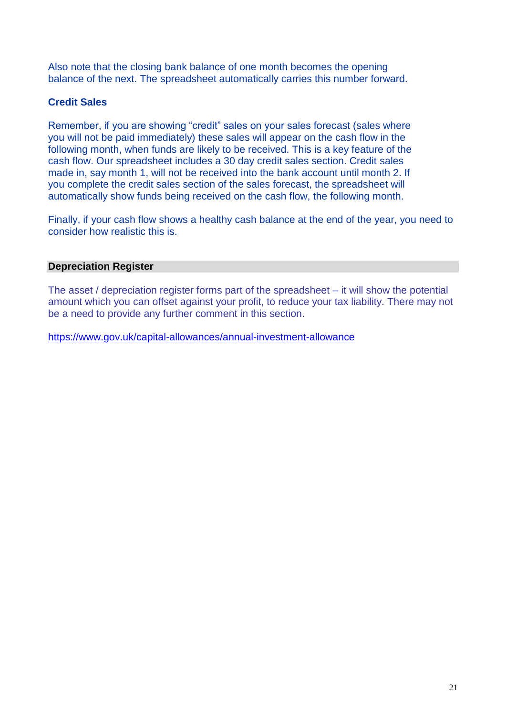Also note that the closing bank balance of one month becomes the opening balance of the next. The spreadsheet automatically carries this number forward.

# **Credit Sales**

Remember, if you are showing "credit" sales on your sales forecast (sales where you will not be paid immediately) these sales will appear on the cash flow in the following month, when funds are likely to be received. This is a key feature of the cash flow. Our spreadsheet includes a 30 day credit sales section. Credit sales made in, say month 1, will not be received into the bank account until month 2. If you complete the credit sales section of the sales forecast, the spreadsheet will automatically show funds being received on the cash flow, the following month.

Finally, if your cash flow shows a healthy cash balance at the end of the year, you need to consider how realistic this is.

# **Depreciation Register**

The asset / depreciation register forms part of the spreadsheet – it will show the potential amount which you can offset against your profit, to reduce your tax liability. There may not be a need to provide any further comment in this section.

<https://www.gov.uk/capital-allowances/annual-investment-allowance>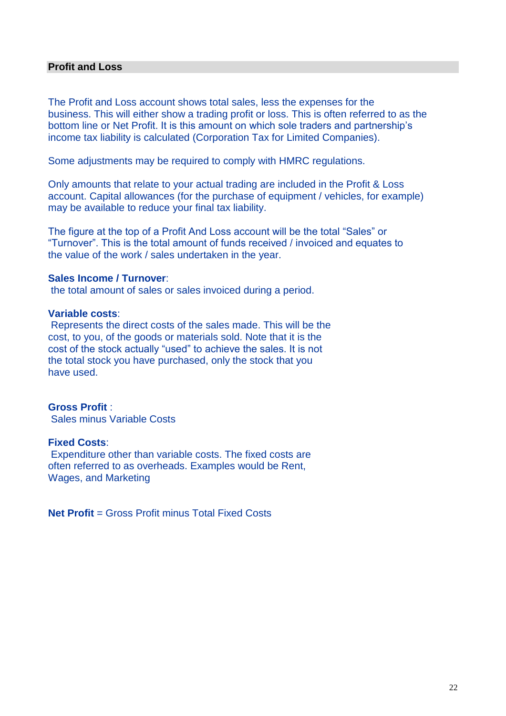# **Profit and Loss**

The Profit and Loss account shows total sales, less the expenses for the business. This will either show a trading profit or loss. This is often referred to as the bottom line or Net Profit. It is this amount on which sole traders and partnership's income tax liability is calculated (Corporation Tax for Limited Companies).

Some adjustments may be required to comply with HMRC regulations.

Only amounts that relate to your actual trading are included in the Profit & Loss account. Capital allowances (for the purchase of equipment / vehicles, for example) may be available to reduce your final tax liability.

The figure at the top of a Profit And Loss account will be the total "Sales" or "Turnover". This is the total amount of funds received / invoiced and equates to the value of the work / sales undertaken in the year.

#### **Sales Income / Turnover**:

the total amount of sales or sales invoiced during a period.

#### **Variable costs**:

Represents the direct costs of the sales made. This will be the cost, to you, of the goods or materials sold. Note that it is the cost of the stock actually "used" to achieve the sales. It is not the total stock you have purchased, only the stock that you have used.

# **Gross Profit** :

Sales minus Variable Costs

# **Fixed Costs**:

Expenditure other than variable costs. The fixed costs are often referred to as overheads. Examples would be Rent, Wages, and Marketing

**Net Profit** = Gross Profit minus Total Fixed Costs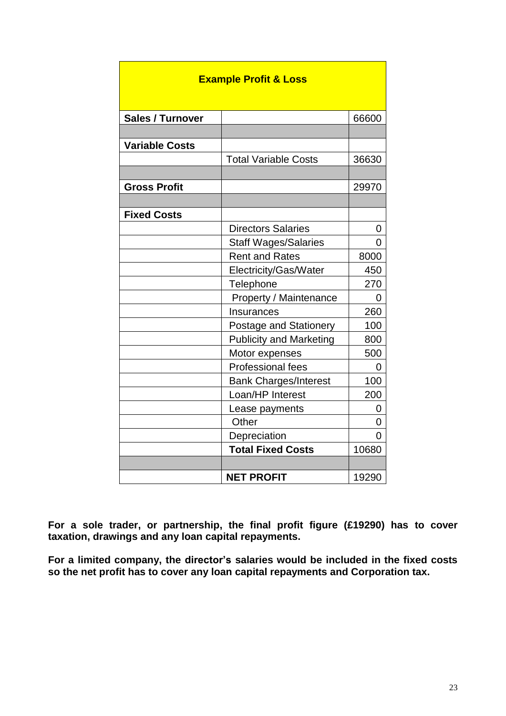| <b>Example Profit &amp; Loss</b> |                                |       |  |
|----------------------------------|--------------------------------|-------|--|
| Sales / Turnover                 |                                | 66600 |  |
|                                  |                                |       |  |
| <b>Variable Costs</b>            |                                |       |  |
|                                  | <b>Total Variable Costs</b>    | 36630 |  |
|                                  |                                |       |  |
| <b>Gross Profit</b>              |                                | 29970 |  |
|                                  |                                |       |  |
| <b>Fixed Costs</b>               |                                |       |  |
|                                  | <b>Directors Salaries</b>      | 0     |  |
|                                  | <b>Staff Wages/Salaries</b>    | 0     |  |
|                                  | <b>Rent and Rates</b>          | 8000  |  |
|                                  | Electricity/Gas/Water          | 450   |  |
|                                  | Telephone                      | 270   |  |
|                                  | Property / Maintenance         | 0     |  |
|                                  | Insurances                     | 260   |  |
|                                  | Postage and Stationery         | 100   |  |
|                                  | <b>Publicity and Marketing</b> | 800   |  |
|                                  | Motor expenses                 | 500   |  |
|                                  | <b>Professional fees</b>       | 0     |  |
|                                  | <b>Bank Charges/Interest</b>   | 100   |  |
|                                  | Loan/HP Interest               | 200   |  |
|                                  | Lease payments                 | 0     |  |
|                                  | Other                          | 0     |  |
|                                  | Depreciation                   | O     |  |
|                                  | <b>Total Fixed Costs</b>       | 10680 |  |
|                                  |                                |       |  |
|                                  | <b>NET PROFIT</b>              | 19290 |  |

**For a sole trader, or partnership, the final profit figure (£19290) has to cover taxation, drawings and any loan capital repayments.**

**For a limited company, the director's salaries would be included in the fixed costs so the net profit has to cover any loan capital repayments and Corporation tax.**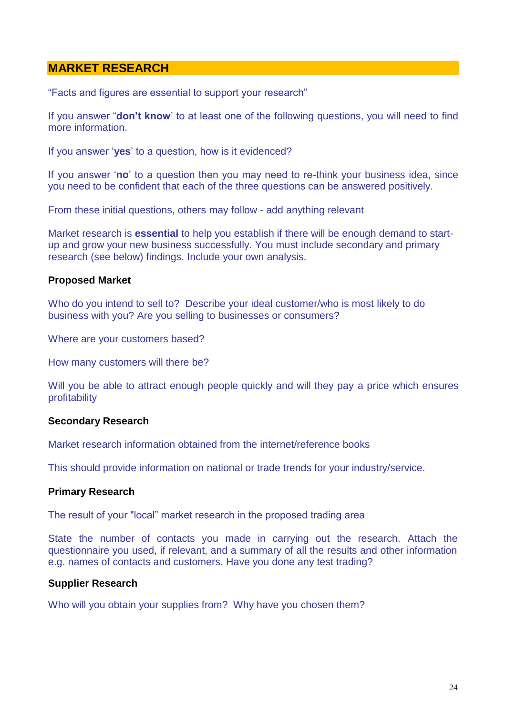# **MARKET RESEARCH**

"Facts and figures are essential to support your research"

If you answer "**don't know**' to at least one of the following questions, you will need to find more information.

If you answer '**yes**' to a question, how is it evidenced?

If you answer '**no**' to a question then you may need to re-think your business idea, since you need to be confident that each of the three questions can be answered positively.

From these initial questions, others may follow - add anything relevant

Market research is **essential** to help you establish if there will be enough demand to startup and grow your new business successfully. You must include secondary and primary research (see below) findings. Include your own analysis.

#### **Proposed Market**

Who do you intend to sell to? Describe your ideal customer/who is most likely to do business with you? Are you selling to businesses or consumers?

Where are your customers based?

How many customers will there be?

Will you be able to attract enough people quickly and will they pay a price which ensures profitability

#### **Secondary Research**

Market research information obtained from the internet/reference books

This should provide information on national or trade trends for your industry/service.

#### **Primary Research**

The result of your "local" market research in the proposed trading area

State the number of contacts you made in carrying out the research. Attach the questionnaire you used, if relevant, and a summary of all the results and other information e.g. names of contacts and customers. Have you done any test trading?

#### **Supplier Research**

Who will you obtain your supplies from? Why have you chosen them?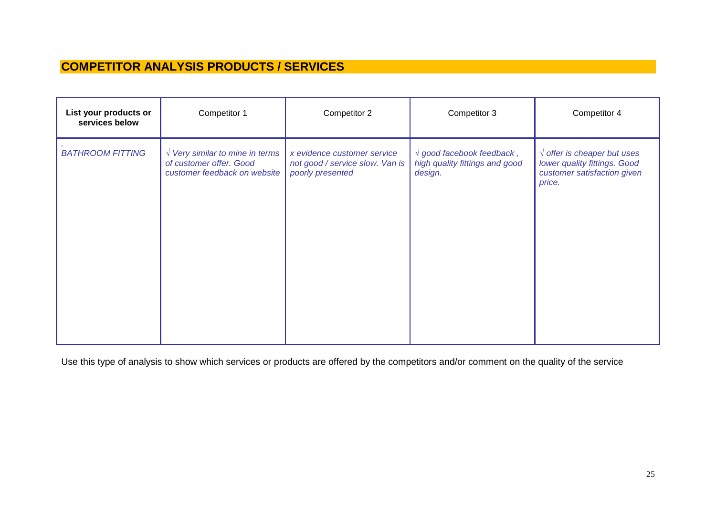# **COMPETITOR ANALYSIS PRODUCTS / SERVICES**

| List your products or<br>services below | Competitor 1                                                                                        | Competitor 2                                                                       | Competitor 3                                                                    | Competitor 4                                                                                                   |
|-----------------------------------------|-----------------------------------------------------------------------------------------------------|------------------------------------------------------------------------------------|---------------------------------------------------------------------------------|----------------------------------------------------------------------------------------------------------------|
| <b>BATHROOM FITTING</b>                 | $\sqrt{V}$ Very similar to mine in terms<br>of customer offer. Good<br>customer feedback on website | x evidence customer service<br>not good / service slow. Van is<br>poorly presented | $\sqrt{q}$ good facebook feedback,<br>high quality fittings and good<br>design. | $\sqrt{\,}$ offer is cheaper but uses<br>lower quality fittings. Good<br>customer satisfaction given<br>price. |
|                                         |                                                                                                     |                                                                                    |                                                                                 |                                                                                                                |

Use this type of analysis to show which services or products are offered by the competitors and/or comment on the quality of the service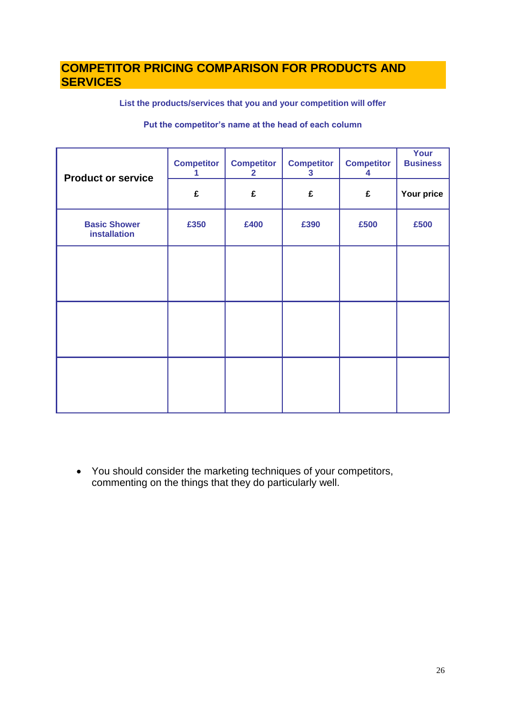# **COMPETITOR PRICING COMPARISON FOR PRODUCTS AND SERVICES**

**List the products/services that you and your competition will offer**

#### **Put the competitor's name at the head of each column**

| <b>Product or service</b>                  | <b>Competitor</b><br>1 | <b>Competitor</b><br>$\overline{2}$ | <b>Competitor</b><br>$\mathbf{3}$ | <b>Competitor</b><br>4 | Your<br><b>Business</b> |
|--------------------------------------------|------------------------|-------------------------------------|-----------------------------------|------------------------|-------------------------|
|                                            | £                      | £                                   | £                                 | £                      | Your price              |
| <b>Basic Shower</b><br><b>installation</b> | £350                   | £400                                | £390                              | £500                   | £500                    |
|                                            |                        |                                     |                                   |                        |                         |
|                                            |                        |                                     |                                   |                        |                         |
|                                            |                        |                                     |                                   |                        |                         |
|                                            |                        |                                     |                                   |                        |                         |
|                                            |                        |                                     |                                   |                        |                         |
|                                            |                        |                                     |                                   |                        |                         |

 You should consider the marketing techniques of your competitors, commenting on the things that they do particularly well.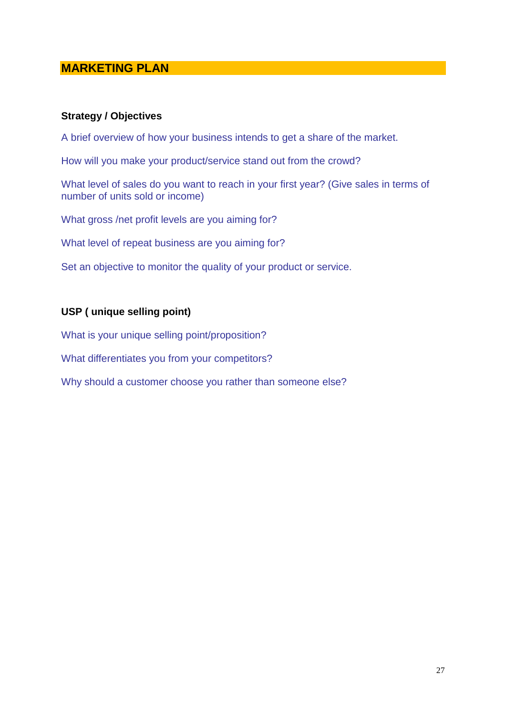# **MARKETING PLAN**

# **Strategy / Objectives**

A brief overview of how your business intends to get a share of the market.

How will you make your product/service stand out from the crowd?

What level of sales do you want to reach in your first year? (Give sales in terms of number of units sold or income)

What gross /net profit levels are you aiming for?

What level of repeat business are you aiming for?

Set an objective to monitor the quality of your product or service.

# **USP ( unique selling point)**

What is your unique selling point/proposition?

What differentiates you from your competitors?

Why should a customer choose you rather than someone else?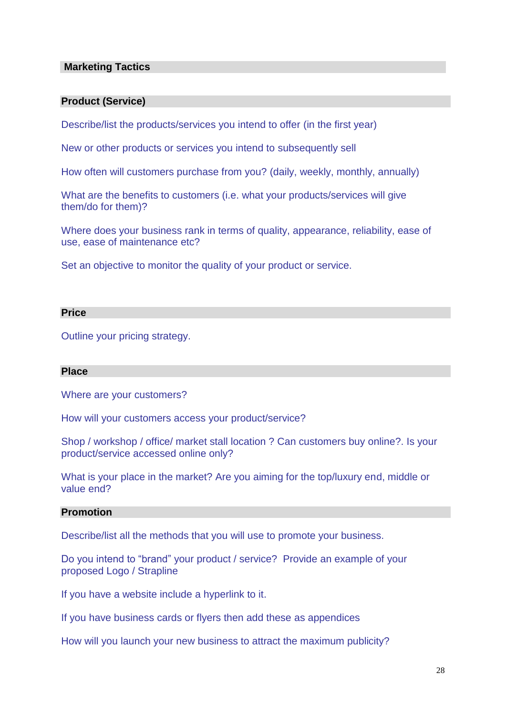#### **Marketing Tactics**

#### **Product (Service)**

Describe/list the products/services you intend to offer (in the first year)

New or other products or services you intend to subsequently sell

How often will customers purchase from you? (daily, weekly, monthly, annually)

What are the benefits to customers (i.e. what your products/services will give them/do for them)?

Where does your business rank in terms of quality, appearance, reliability, ease of use, ease of maintenance etc?

Set an objective to monitor the quality of your product or service.

#### **Price**

Outline your pricing strategy.

#### **Place**

Where are your customers?

How will your customers access your product/service?

Shop / workshop / office/ market stall location ? Can customers buy online?. Is your product/service accessed online only?

What is your place in the market? Are you aiming for the top/luxury end, middle or value end?

# **Promotion**

Describe/list all the methods that you will use to promote your business.

Do you intend to "brand" your product / service? Provide an example of your proposed Logo / Strapline

If you have a website include a hyperlink to it.

If you have business cards or flyers then add these as appendices

How will you launch your new business to attract the maximum publicity?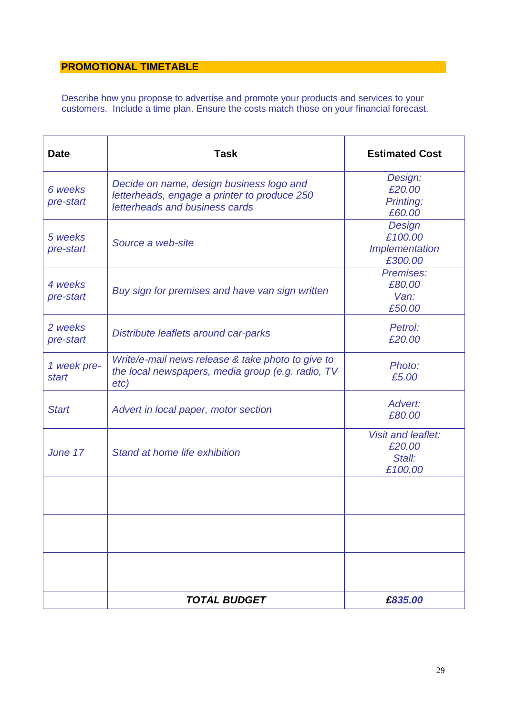# **PROMOTIONAL TIMETABLE**

Describe how you propose to advertise and promote your products and services to your customers. Include a time plan. Ensure the costs match those on your financial forecast.

| <b>Date</b>          | Task                                                                                                                       | <b>Estimated Cost</b>                                    |  |
|----------------------|----------------------------------------------------------------------------------------------------------------------------|----------------------------------------------------------|--|
| 6 weeks<br>pre-start | Decide on name, design business logo and<br>letterheads, engage a printer to produce 250<br>letterheads and business cards | Design:<br>£20.00<br><b>Printing:</b><br>£60.00          |  |
| 5 weeks<br>pre-start | Source a web-site                                                                                                          | Design<br>£100.00<br>Implementation<br>£300.00           |  |
| 4 weeks<br>pre-start | Buy sign for premises and have van sign written                                                                            | Premises:<br>£80.00<br>Van:<br>£50.00                    |  |
| 2 weeks<br>pre-start | Distribute leaflets around car-parks                                                                                       | Petrol:<br>£20.00                                        |  |
| 1 week pre-<br>start | Write/e-mail news release & take photo to give to<br>the local newspapers, media group (e.g. radio, TV<br>etc)             | Photo:<br>£5.00                                          |  |
| <b>Start</b>         | Advert in local paper, motor section                                                                                       | Advert:<br>£80.00                                        |  |
| June 17              | Stand at home life exhibition                                                                                              | <b>Visit and leaflet:</b><br>£20.00<br>Stall:<br>£100.00 |  |
|                      |                                                                                                                            |                                                          |  |
|                      |                                                                                                                            |                                                          |  |
|                      |                                                                                                                            |                                                          |  |
|                      | <b>TOTAL BUDGET</b>                                                                                                        | £835.00                                                  |  |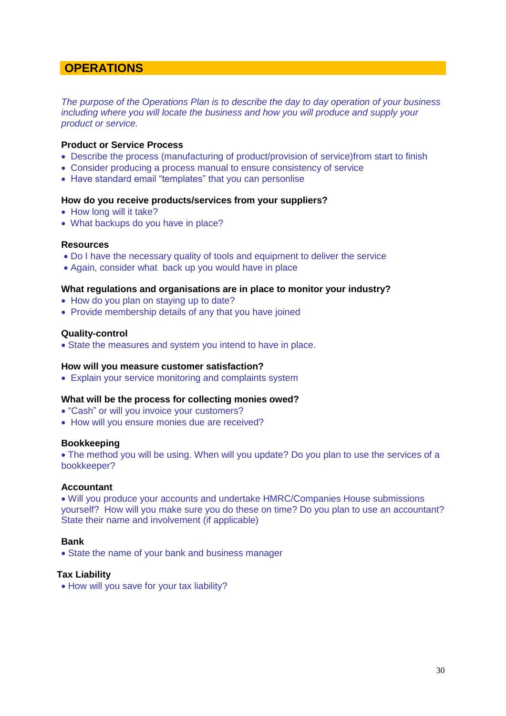# **OPERATIONS**

*The purpose of the Operations Plan is to describe the day to day operation of your business including where you will locate the business and how you will produce and supply your product or service.*

#### **Product or Service Process**

- Describe the process (manufacturing of product/provision of service)from start to finish
- Consider producing a process manual to ensure consistency of service
- Have standard email "templates" that you can personlise

#### **How do you receive products/services from your suppliers?**

- How long will it take?
- What backups do you have in place?

#### **Resources**

- Do I have the necessary quality of tools and equipment to deliver the service
- Again, consider what back up you would have in place

#### **What regulations and organisations are in place to monitor your industry?**

- How do you plan on staying up to date?
- Provide membership details of any that you have joined

#### **Quality-control**

State the measures and system you intend to have in place.

#### **How will you measure customer satisfaction?**

Explain your service monitoring and complaints system

#### **What will be the process for collecting monies owed?**

- "Cash" or will you invoice your customers?
- How will you ensure monies due are received?

#### **Bookkeeping**

• The method you will be using. When will you update? Do you plan to use the services of a bookkeeper?

#### **Accountant**

 Will you produce your accounts and undertake HMRC/Companies House submissions yourself? How will you make sure you do these on time? Do you plan to use an accountant? State their name and involvement (if applicable)

#### **Bank**

• State the name of your bank and business manager

#### **Tax Liability**

• How will you save for your tax liability?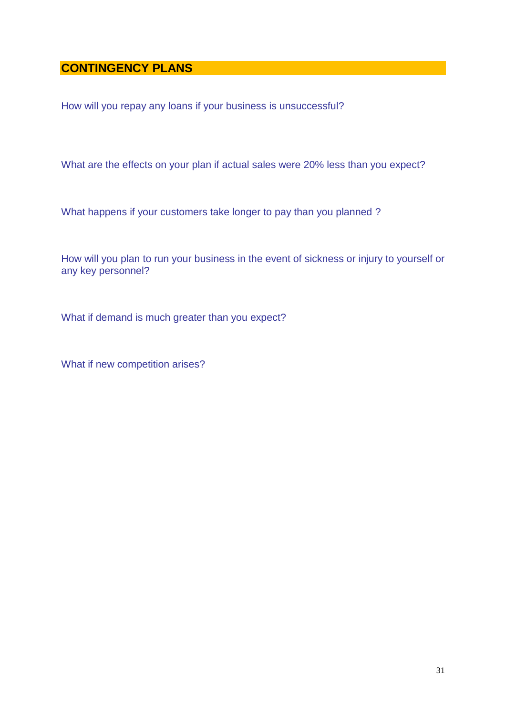# **CONTINGENCY PLANS**

How will you repay any loans if your business is unsuccessful?

What are the effects on your plan if actual sales were 20% less than you expect?

What happens if your customers take longer to pay than you planned ?

How will you plan to run your business in the event of sickness or injury to yourself or any key personnel?

What if demand is much greater than you expect?

What if new competition arises?